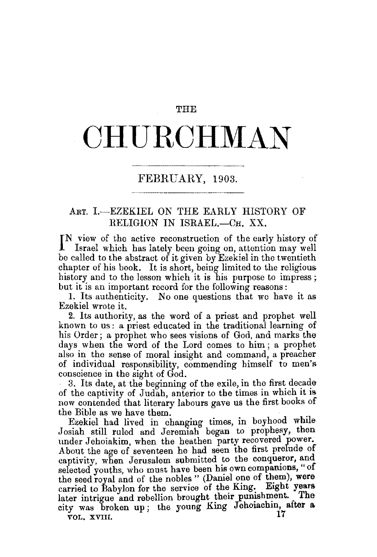## **THE**

## **CHURCHMAN**

## FEBRUARY, 1903.

## ART. I.-EZEKIEL ON THE EARLY HISTORY OF RELIGION IN ISRAEL.—CH. XX.

IN view of the active reconstruction of the early history of Israel which has lately been going on, attention may well Israel which has lately been going on, attention may well be called to the abstract of it given by Ezekiel in the twentieth chapter of his book. It is short, being limited to the religious history and to the lesson which it is his purpose to impress; but it is an important record for the following reasons :

1. Its authenticity. No one questions that we have it as Ezekiel wrote it.

2. Its authority, as the word of a priest and prophet well known to us : a priest educated in the traditional learning of his Order; a prophet who sees visions of God, and marks the days when the word of the Lord comes to him; a prophet also in the sense of moral insight and command, a preacher of individual responsibility, commending himself to men's

conscience in the sight of God.<br>3. Its date, at the beginning of the exile, in the first decade of the captivity of Judah, anterior to the times in which it is now contended that literary labours gave us the first books of

the Bible as we have them.<br>Ezekiel had lived in changing times, in boyhood while Josiah still ruled and Jeremiah began to prophesy, then under Jehoiakim, when the heathen party recovered power. About the age of seventeen he had seen the first prelude of captivity, when Jerusalem submitted to the conqueror, and selected youths, who must have been his own companions, " of the seed royal and of the nobles " (Daniel one of them), were carried to Babylon for the service of the King. Eight years later intrigue and rebellion brought their punishment. The city was broken up; the young King Jehoiachin, after a.  $\bar{v}$ OL. XVIII,  $\bar{v}$  17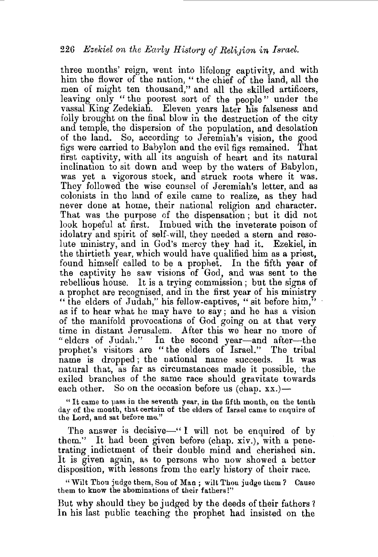three months' reign, went into lifelong captivity, and with him the flower of the nation, " the chief of the land, all the men of might ten thousand," and all the skilled artificers, leaving only " the poorest sort of the people" under the vassal King Zedekiah. Eleven years later his falseness and folly brought on the final blow in the destruction of the city and temple, the dispersion of the population, and desolation of the land. So, according to Jeremiah's vision, the good figs were carried to Babylon and the evil figs remained. That first captivity, with all its anguish of heart and its natural inclination to sit down and weep by the waters of Babylon, was yet a vigorous stock, and struck roots where it was. They followed the wise counsel of Jeremiah's letter, and as colonists in the land of exile came to realize, as they had never done at home, their national religion and character. That was the purpose of the dispensation ; but it did not look hopeful at first. Imbued with the inveterate poison of idolatry and spirit of self-will, they needed a stern and resolute ministry, and in God's mercy they had it. Ezekiel, in the thirtieth year, which would have qualified him as a priest, found himself called to be a prophet. In the fifth year of the captivity he saw visions of God, and was sent to the rebellious house. It is a trying commission ; but the signs of a prophet are recognised, and in the first year of his ministry " the elders of Judah," his fellow-captives, " sit before him," as if to hear what he may have to say; and he has a vision of the manifold provocations of God going on at that very time in distant Jerusalem. After this we hear no more of " elders of Judah." In the second year-and after-the prophet's visitors are " the elders of Israel." The tribal name is dropped ; the national name succeeds. It was natural that, as far as circumstances made it possible, the exiled branches of the same race should gravitate towards each other. So on the occasion before us  $(\text{chap. xx.})$ —

" It came to pass in the seventh year, in the fifth month, on the tenth day of the month, that certain of the elders of Israel came to enquire of the Lord, and sat before me."

The answer is decisive-" I will not be enquired of by them.'' It had been given before (chap. xiv.), with a penetrating indictment of their double mind and cherished sin. It is given again, as to persons who now showed a better disposition, with lessons from the early history of their race.

"Wilt Thou judge them, Son of Man ; wilt Thou judge them? Cause them to know the abominations of their fathers!"

But why should they be judged by the deeds of their fathers 1 In his last public teaching the prophet had insisted on the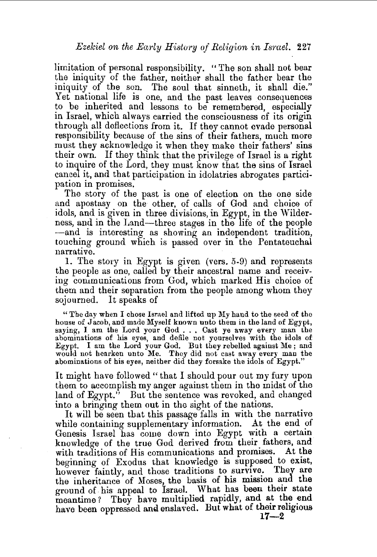limitation of personal responsibility. "The son shall not bear the iniquity of the father, neither shall the father bear the iniquity of the son. The soul that sinneth, it shall die." Yet national life is one, and the past leaves consequences to be inherited and lessons to be remembered, especially in Israel, which always carried the consciousness of its origin through all deflections from it. If they cannot evade personal responsibility because of the sins of their fathers, much more must they acknowledge it when they make their fathers' sins their own. If they think that the privilege of Israel is a right to inquire of the Lord, they must know that the sins of Israel cancel it, and that participation in idolatries abrogates participation in promises.

The story of the past is one of election on the one side and apostasy on the other, of calls of God and choice of idols, and is given in three divisions, in Egypt, in the Wilderness, and in the Land—three stages in the life of the people -and is interesting as showing an independent tradition, touching ground which is passed over in the Pentateuchal narrative.

I. The story in Egypt is given (vers. 5-9) and represents the people as one, called by their ancestral name and receiving communications from God, which marked His choice of them and their separation from the people among whom they sojourned. It speaks of

"The day when I chose Israel and lifted up My hand to the seed of the house of Jacob, and made Myself known unto them in the land of Egypt, saying, I am the Lord your God . . . Cast ye away every man the abominations of his eyes, and defile not yourselves with the idols of Egypt. I am the Lord your God. But they rebelled against Me; and would not hearken unto Me. They did not cast away every man the abominations of his eyes, neither did they forsake the idols of Egypt."

It might have followed " that I should pour out my fury upon them to accomplish my anger against them in the midst of the land of Egypt." But the sentence was revoked, and changed into a bringing them out in the sight of the nations.

It will be seen that this passage falls in with the narrative while containing supplementary information. At the end of Genesis Israel has come down into Egypt with a certain knowledge of the true God derived from their fathers, and with traditions of His communications and promises. At the beginning of Exodus that knowledge is supposed to exist, however faintly, and those traditions to survive. They are the inheritance of Moses, the basis of his mission and the ground of his appeal to Israel. What has been their state meantime? They have multiplied rapidly, and at the end have been oppressed and enslaved. But what of their religious **17-2**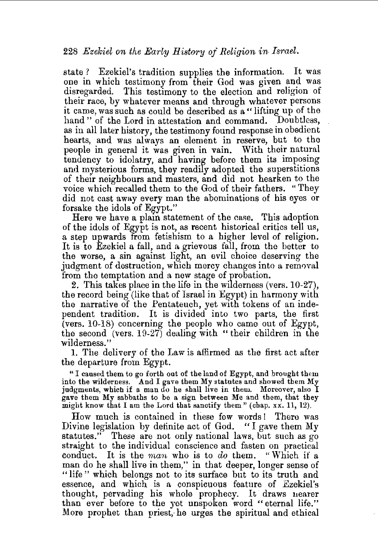state ? Ezekiel's tradition supplies the information. It was one in which testimony from their God was given and was disregarded. This testimony to the election and religion of their race, by whatever means and through whatever persons it came, was such as could be described as a" lifting up of the hand" of the Lord in attestation and command. Doubtless, as in all later history, the testimony found response in obedient. hearts, and was always an element in reserve, but to the people in general it was given in vain. With their natural tendency to idolatry, and having before them its imposing and mysterious forms, they readily adopted the superstitions of their neighbours and masters, and did not hearken to the voice which recalled them to the God of their fathers. "They did not cast away every man the abominations of his eyes or forsake the idols of Egypt."

Here we have a plain statement of the case. This adoption of the idols of Egypt is not, as recent historical critics tell us, a step upwards from fetishism to a higher level of religion. It is to Ezekiel a fall, and a grievous fall, from the better to the worse, a sin against light, an evil choice deserving the judgment of destruction, which mercy changes into a removal from the temptation and a new stage of probation.

2. This takes place in the life in the wilderness (vers. 10-27), the record being (like that of Israel in Egypt) in harmony with the narrative of the Pentateuch, yet with tokens of an independent tradition. It is divided into two parts, the first (vers. 10-18) concerning the people who came out of Egypt, the second (vers. 19-27) dealing with " their children in the wilderness.''

1. The delivery of the Law is affirmed as the first act after the departure from Egypt.

"I caused them to go forth out of the land of Egypt, and brought them into the wilderness. And I gave them My statutes and showed them My judgments, which if a man do he shall live in them. Moreover, also I gave them My sabbaths to be a sign between Me and them, that they might know that I am the Lord that sanctify them'' (chap. xx. 11, 12).

How much is contained in these few words ! There was Divine legislation by definite act of God. " I gave them My statutes." These are not only national laws, but such as go straight to the individual conscience and fasten on practical conduct. It is the *man* who is to *do* them. "Which if a man do he shall live in them," in that deeper, longer sense of "life" which belongs not to its surface but to its truth and essence, and which is a conspicuous feature of Ezekiel's thought, pervading his whole prophecy. It draws nearer than ever before to the yet unspoken word "eternal life." More prophet than priest, he urges the spiritual and ethical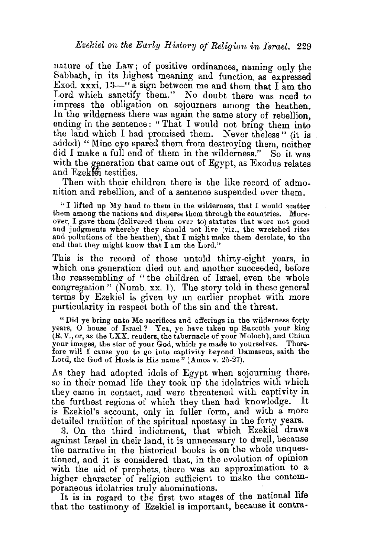nature of the Law; of positive ordinances, naming only the Sabbath, in its highest meaning and function as expressed Exod. xxxi.  $13-$ " a sign between me and them that I am the Lord which sanctify them." No doubt there was need to impress the obligation on sojourners among the heathen. In the wilderness there was again the same story of rebellion, ending in the sentence: "That I would not bring them into the land which I had promised them. Never the less" (it is added) "Mine eye spared them from destroying them, neither did I make a full end of them in the wilderness." So it was with the generation that came out of Egypt, as Exodus relates and Ezekten testifies.

Then with their children there is the like record of admonition and rebellion, and of a sentence suspended over them.

" I lifted up My hand to them in the wilderness, that I would scatter them among the nations and disperse them through the countries. Moreover, I gave them (delivered them over to) statutes that were not good and judgments whereby they should not live (viz., the wretched rites and pollutions of the heathen), that I might make them desolate, to the end that they might know that I am the Lord."

This is the record of those untold thirty-eight years, in which one generation died out and another succeeded, before the reassembling of " the children of Israel, even the whole congregation" (Numb. xx. 1). The story told in these general terms by Ezekiel is given by an earlier prophet with more particularity in respect both of the sin and the threat.

"Did ye bring unto Me sacrifices and offerings in the wilderness forty years, O house of Israel? Yea, ye have taken up Succoth your king (R.V., or, as the LXX. renders, the tabernacle of your Moloch), and Chinn your images, the star of your God, which ye made to yourselves. Therefore will I cause you to go into captivity beyond Damascus, saith the Lord, the God of Hosts is His name" (Amos v. 25-27).

As they had adopted idols of Egypt when sojourning there, so in their nomad life they took up the idolatries with which they came in contact, and were threatened with captivity in the furthest regions of which they then had knowledge. is Ezekiel's account, only in fuller form, and with a more detailed tradition of the spiritual apostasy in the forty years.

3. On the third indictment, that which Ezekiel draws against Israel in their land, it is unnecessary to dwell, because the narrative in the historical books is on the whole unquestioned, and it is considered that, in the evolution of opinion with the aid of prophets, there was an approximation to a higher character of religion sufficient to make the contem-

poraneous idolatries truly abominations.<br>It is in regard to the first two stages of the national life that the testimony of Ezekiel is important, because it contra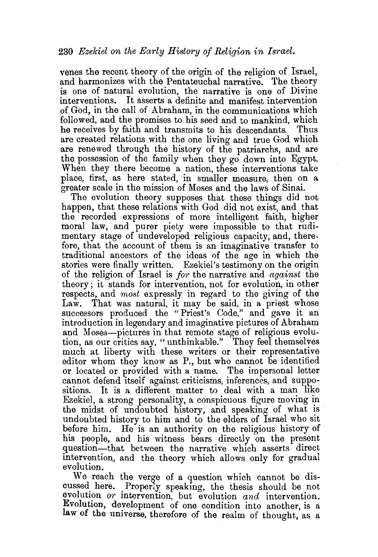venes the recent theory of the origin of the religion of Israel, and harmonizes with the Pentateuchal narrative. The theory is one of natural evolution, the narrative is one of Divine interventions. It asserts a definite and manifest intervention of God, in the call of Abraham, in the communications which followed, and the promises to his seed and to mankind, which he receives by faith and transmits to his descendants. Thus he receives by faith and transmits to his descendants. are created relations with the one living and true God which are renewed through the history of the patriarchs, and are the possession of the family when they go down into Egypt. When they there become a nation, these interventions take place, first, as here stated, in smaller measure, then on a greater scale in the mission of Moses and the laws of Sinai.

The evolution theory supposes that these things did not happen, that these relations with God did not exist, and that the recorded expressions of more intelligent faith, higher moral law, and purer piety were impossible to that rudimentary stage of undeveloped religious capacity, and, therefore, that the account of them is an imaginative transfer to traditional ancestors of the ideas of the age in which the stories were finally written. Ezekiel's testimony on the origin of the religion of Israel is *for* the narrative and *against* the theory ; it stands for intervention, not for evolution, in other respects, and *most* expressly in regard to the giving of the That was natural, it may be said, in a priest whose successors produced the "Priest's Code," and gave it an introduction in legendary and imaginative pictures of Abraham and Moses-pictures in that remote stage of religious evolution, as our critics say, "unthinkable." They feel themselves much at liberty with these writers or their representative editor whom they know as P., but who cannot be identified or located or provided with a name. The impersonal letter cannot defend itself against criticisms, inferences, and surpositions. It is a different matter to deal with a man like Ezekiel, a strong personality, a conspicuous figure moving in the midst of undoubted history, and speaking of what is undoubted history to him and to the elders of Israel who sit before him. He is an authority on the religious history of his people, and his witness bears directly on the present question-that between the narrative which asserts direct intervention, and the theory which allows only for gradual evolution.

We reach the verge of a question which cannot be discussed here. Properly speaking, the thesis should be not evolution *or* intervention, but evolution *and* intervention. Evolution, development of one condition into another, is a law of the universe, therefore of the realm of thought, as a